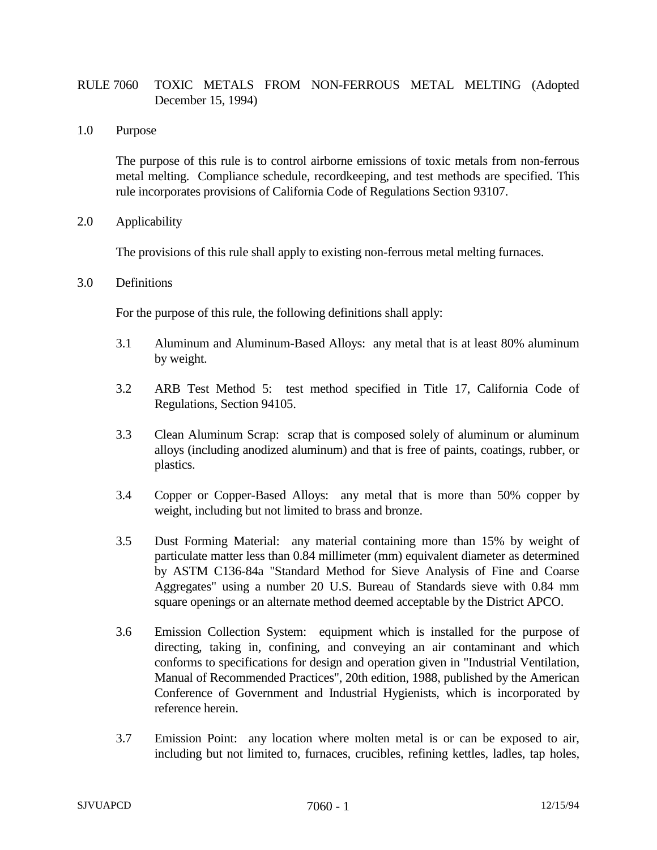# RULE 7060 TOXIC METALS FROM NON-FERROUS METAL MELTING (Adopted December 15, 1994)

1.0 Purpose

The purpose of this rule is to control airborne emissions of toxic metals from non-ferrous metal melting. Compliance schedule, recordkeeping, and test methods are specified. This rule incorporates provisions of California Code of Regulations Section 93107.

2.0 Applicability

The provisions of this rule shall apply to existing non-ferrous metal melting furnaces.

3.0 Definitions

For the purpose of this rule, the following definitions shall apply:

- 3.1 Aluminum and Aluminum-Based Alloys: any metal that is at least 80% aluminum by weight.
- 3.2 ARB Test Method 5: test method specified in Title 17, California Code of Regulations, Section 94105.
- 3.3 Clean Aluminum Scrap: scrap that is composed solely of aluminum or aluminum alloys (including anodized aluminum) and that is free of paints, coatings, rubber, or plastics.
- 3.4 Copper or Copper-Based Alloys: any metal that is more than 50% copper by weight, including but not limited to brass and bronze.
- 3.5 Dust Forming Material: any material containing more than 15% by weight of particulate matter less than 0.84 millimeter (mm) equivalent diameter as determined by ASTM C136-84a "Standard Method for Sieve Analysis of Fine and Coarse Aggregates" using a number 20 U.S. Bureau of Standards sieve with 0.84 mm square openings or an alternate method deemed acceptable by the District APCO.
- 3.6 Emission Collection System: equipment which is installed for the purpose of directing, taking in, confining, and conveying an air contaminant and which conforms to specifications for design and operation given in "Industrial Ventilation, Manual of Recommended Practices", 20th edition, 1988, published by the American Conference of Government and Industrial Hygienists, which is incorporated by reference herein.
- 3.7 Emission Point: any location where molten metal is or can be exposed to air, including but not limited to, furnaces, crucibles, refining kettles, ladles, tap holes,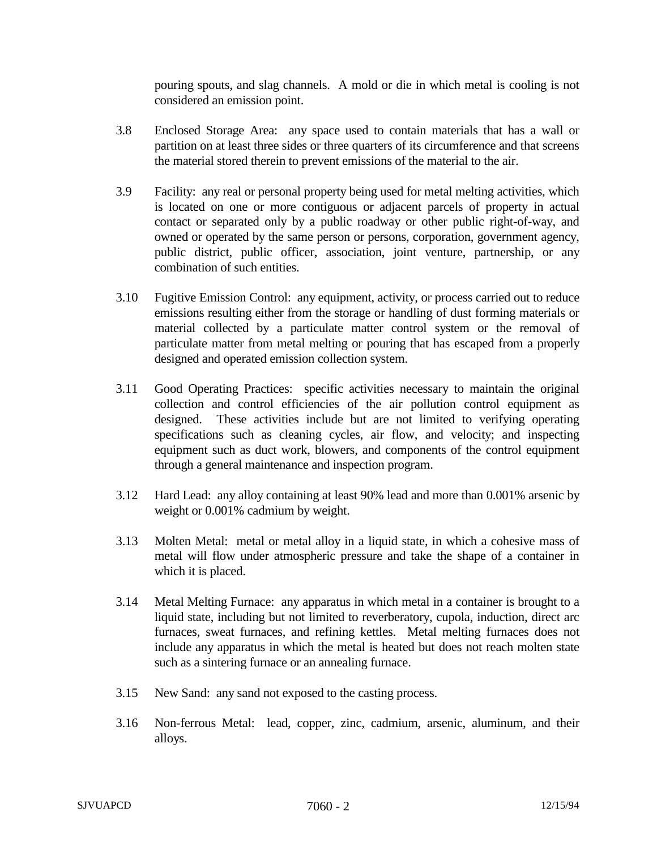pouring spouts, and slag channels. A mold or die in which metal is cooling is not considered an emission point.

- 3.8 Enclosed Storage Area: any space used to contain materials that has a wall or partition on at least three sides or three quarters of its circumference and that screens the material stored therein to prevent emissions of the material to the air.
- 3.9 Facility: any real or personal property being used for metal melting activities, which is located on one or more contiguous or adjacent parcels of property in actual contact or separated only by a public roadway or other public right-of-way, and owned or operated by the same person or persons, corporation, government agency, public district, public officer, association, joint venture, partnership, or any combination of such entities.
- 3.10 Fugitive Emission Control: any equipment, activity, or process carried out to reduce emissions resulting either from the storage or handling of dust forming materials or material collected by a particulate matter control system or the removal of particulate matter from metal melting or pouring that has escaped from a properly designed and operated emission collection system.
- 3.11 Good Operating Practices: specific activities necessary to maintain the original collection and control efficiencies of the air pollution control equipment as designed. These activities include but are not limited to verifying operating specifications such as cleaning cycles, air flow, and velocity; and inspecting equipment such as duct work, blowers, and components of the control equipment through a general maintenance and inspection program.
- 3.12 Hard Lead: any alloy containing at least 90% lead and more than 0.001% arsenic by weight or 0.001% cadmium by weight.
- 3.13 Molten Metal: metal or metal alloy in a liquid state, in which a cohesive mass of metal will flow under atmospheric pressure and take the shape of a container in which it is placed.
- 3.14 Metal Melting Furnace: any apparatus in which metal in a container is brought to a liquid state, including but not limited to reverberatory, cupola, induction, direct arc furnaces, sweat furnaces, and refining kettles. Metal melting furnaces does not include any apparatus in which the metal is heated but does not reach molten state such as a sintering furnace or an annealing furnace.
- 3.15 New Sand: any sand not exposed to the casting process.
- 3.16 Non-ferrous Metal: lead, copper, zinc, cadmium, arsenic, aluminum, and their alloys.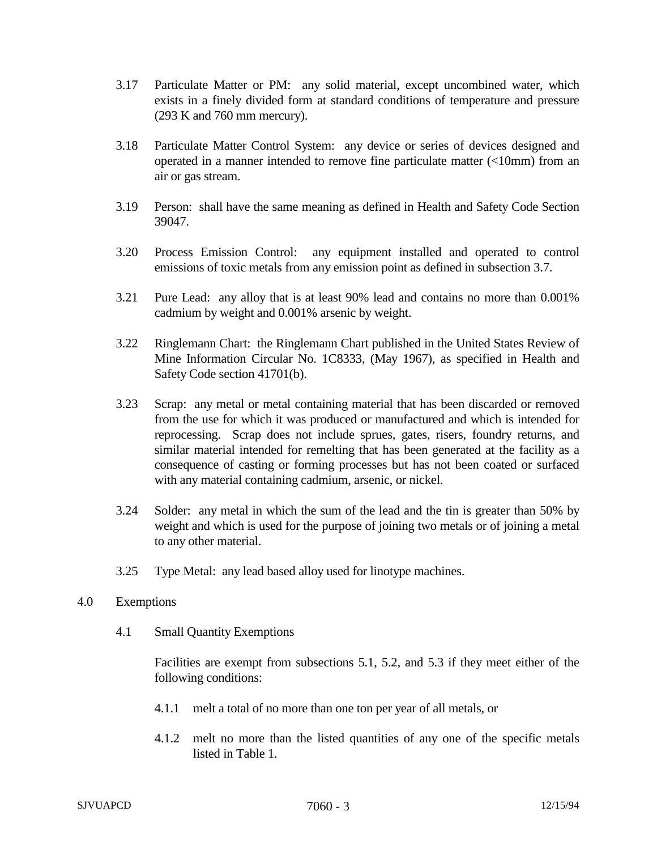- 3.17 Particulate Matter or PM: any solid material, except uncombined water, which exists in a finely divided form at standard conditions of temperature and pressure (293 K and 760 mm mercury).
- 3.18 Particulate Matter Control System: any device or series of devices designed and operated in a manner intended to remove fine particulate matter (<10mm) from an air or gas stream.
- 3.19 Person: shall have the same meaning as defined in Health and Safety Code Section 39047.
- 3.20 Process Emission Control: any equipment installed and operated to control emissions of toxic metals from any emission point as defined in subsection 3.7.
- 3.21 Pure Lead: any alloy that is at least 90% lead and contains no more than 0.001% cadmium by weight and 0.001% arsenic by weight.
- 3.22 Ringlemann Chart: the Ringlemann Chart published in the United States Review of Mine Information Circular No. 1C8333, (May 1967), as specified in Health and Safety Code section 41701(b).
- 3.23 Scrap: any metal or metal containing material that has been discarded or removed from the use for which it was produced or manufactured and which is intended for reprocessing. Scrap does not include sprues, gates, risers, foundry returns, and similar material intended for remelting that has been generated at the facility as a consequence of casting or forming processes but has not been coated or surfaced with any material containing cadmium, arsenic, or nickel.
- 3.24 Solder: any metal in which the sum of the lead and the tin is greater than 50% by weight and which is used for the purpose of joining two metals or of joining a metal to any other material.
- 3.25 Type Metal: any lead based alloy used for linotype machines.
- 4.0 Exemptions
	- 4.1 Small Quantity Exemptions

Facilities are exempt from subsections 5.1, 5.2, and 5.3 if they meet either of the following conditions:

- 4.1.1 melt a total of no more than one ton per year of all metals, or
- 4.1.2 melt no more than the listed quantities of any one of the specific metals listed in Table 1.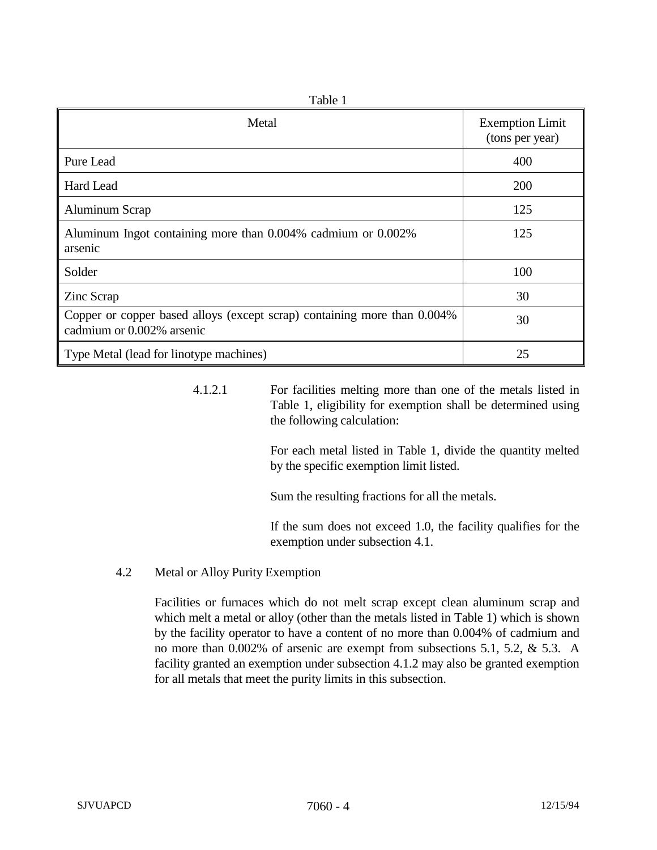| rabie i                                                                                               |                                           |  |  |  |  |  |  |
|-------------------------------------------------------------------------------------------------------|-------------------------------------------|--|--|--|--|--|--|
| Metal                                                                                                 | <b>Exemption Limit</b><br>(tons per year) |  |  |  |  |  |  |
| Pure Lead                                                                                             | 400                                       |  |  |  |  |  |  |
| Hard Lead                                                                                             | 200                                       |  |  |  |  |  |  |
| Aluminum Scrap                                                                                        | 125                                       |  |  |  |  |  |  |
| Aluminum Ingot containing more than 0.004% cadmium or 0.002%<br>arsenic                               | 125                                       |  |  |  |  |  |  |
| Solder                                                                                                | 100                                       |  |  |  |  |  |  |
| Zinc Scrap                                                                                            | 30                                        |  |  |  |  |  |  |
| Copper or copper based alloys (except scrap) containing more than 0.004%<br>cadmium or 0.002% arsenic | 30                                        |  |  |  |  |  |  |
| Type Metal (lead for linotype machines)                                                               | 25                                        |  |  |  |  |  |  |

 $T<sub>o</sub>$  $L<sub>1</sub> = 1$ 

# 4.1.2.1 For facilities melting more than one of the metals listed in Table 1, eligibility for exemption shall be determined using the following calculation:

For each metal listed in Table 1, divide the quantity melted by the specific exemption limit listed.

Sum the resulting fractions for all the metals.

If the sum does not exceed 1.0, the facility qualifies for the exemption under subsection 4.1.

4.2 Metal or Alloy Purity Exemption

Facilities or furnaces which do not melt scrap except clean aluminum scrap and which melt a metal or alloy (other than the metals listed in Table 1) which is shown by the facility operator to have a content of no more than 0.004% of cadmium and no more than 0.002% of arsenic are exempt from subsections 5.1, 5.2, & 5.3. A facility granted an exemption under subsection 4.1.2 may also be granted exemption for all metals that meet the purity limits in this subsection.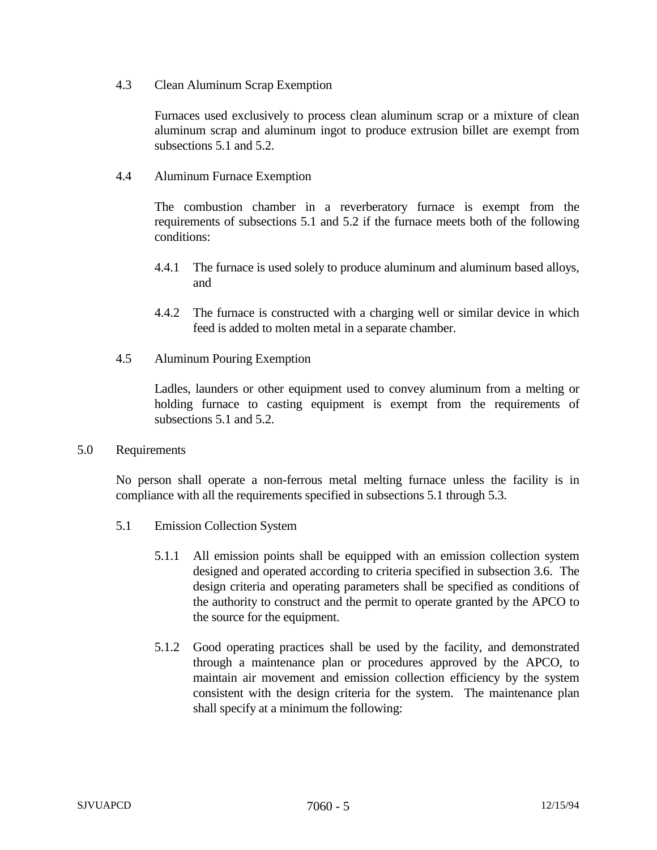4.3 Clean Aluminum Scrap Exemption

Furnaces used exclusively to process clean aluminum scrap or a mixture of clean aluminum scrap and aluminum ingot to produce extrusion billet are exempt from subsections 5.1 and 5.2.

4.4 Aluminum Furnace Exemption

The combustion chamber in a reverberatory furnace is exempt from the requirements of subsections 5.1 and 5.2 if the furnace meets both of the following conditions:

- 4.4.1 The furnace is used solely to produce aluminum and aluminum based alloys, and
- 4.4.2 The furnace is constructed with a charging well or similar device in which feed is added to molten metal in a separate chamber.
- 4.5 Aluminum Pouring Exemption

Ladles, launders or other equipment used to convey aluminum from a melting or holding furnace to casting equipment is exempt from the requirements of subsections 5.1 and 5.2.

5.0 Requirements

No person shall operate a non-ferrous metal melting furnace unless the facility is in compliance with all the requirements specified in subsections 5.1 through 5.3.

- 5.1 Emission Collection System
	- 5.1.1 All emission points shall be equipped with an emission collection system designed and operated according to criteria specified in subsection 3.6. The design criteria and operating parameters shall be specified as conditions of the authority to construct and the permit to operate granted by the APCO to the source for the equipment.
	- 5.1.2 Good operating practices shall be used by the facility, and demonstrated through a maintenance plan or procedures approved by the APCO, to maintain air movement and emission collection efficiency by the system consistent with the design criteria for the system. The maintenance plan shall specify at a minimum the following: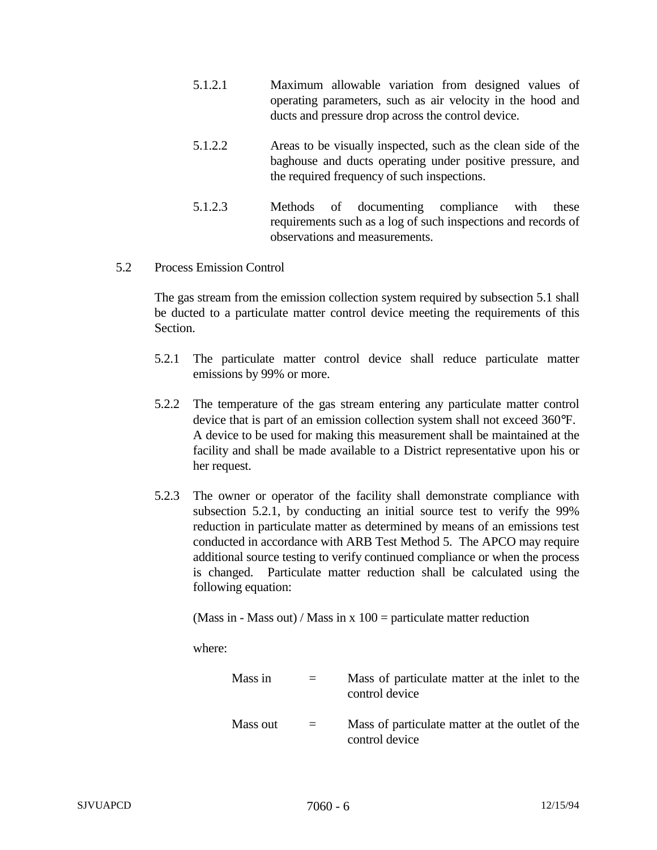- 5.1.2.1 Maximum allowable variation from designed values of operating parameters, such as air velocity in the hood and ducts and pressure drop across the control device.
- 5.1.2.2 Areas to be visually inspected, such as the clean side of the baghouse and ducts operating under positive pressure, and the required frequency of such inspections.
- 5.1.2.3 Methods of documenting compliance with these requirements such as a log of such inspections and records of observations and measurements.
- 5.2 Process Emission Control

The gas stream from the emission collection system required by subsection 5.1 shall be ducted to a particulate matter control device meeting the requirements of this Section.

- 5.2.1 The particulate matter control device shall reduce particulate matter emissions by 99% or more.
- 5.2.2 The temperature of the gas stream entering any particulate matter control device that is part of an emission collection system shall not exceed 360°F. A device to be used for making this measurement shall be maintained at the facility and shall be made available to a District representative upon his or her request.
- 5.2.3 The owner or operator of the facility shall demonstrate compliance with subsection 5.2.1, by conducting an initial source test to verify the 99% reduction in particulate matter as determined by means of an emissions test conducted in accordance with ARB Test Method 5. The APCO may require additional source testing to verify continued compliance or when the process is changed. Particulate matter reduction shall be calculated using the following equation:

(Mass in - Mass out) / Mass in  $x$  100 = particulate matter reduction

where:

| Mass in  | $=$      | Mass of particulate matter at the inlet to the<br>control device  |
|----------|----------|-------------------------------------------------------------------|
| Mass out | $\equiv$ | Mass of particulate matter at the outlet of the<br>control device |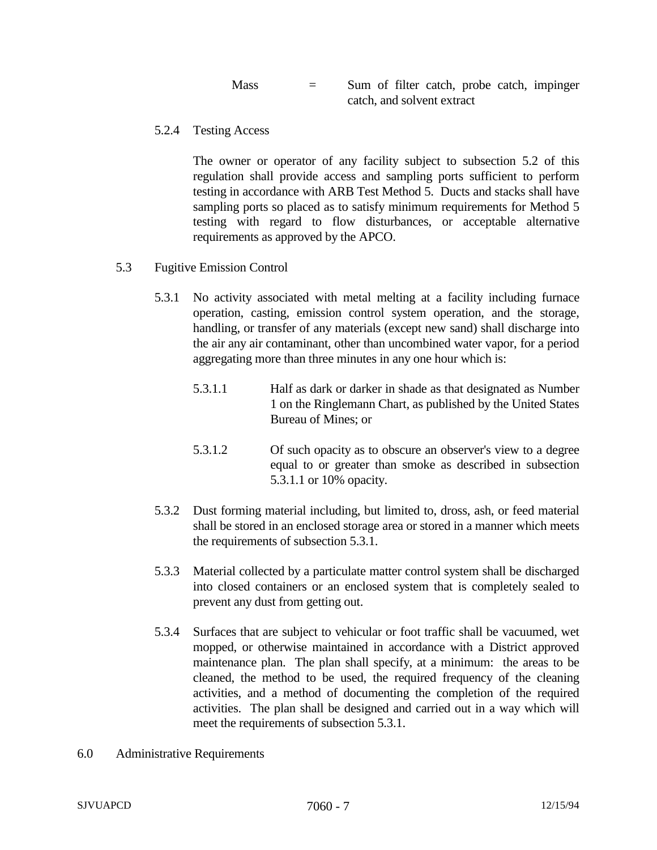| <b>Mass</b> | $=$ |  |                            |  | Sum of filter catch, probe catch, impinger |
|-------------|-----|--|----------------------------|--|--------------------------------------------|
|             |     |  | catch, and solvent extract |  |                                            |

5.2.4 Testing Access

The owner or operator of any facility subject to subsection 5.2 of this regulation shall provide access and sampling ports sufficient to perform testing in accordance with ARB Test Method 5. Ducts and stacks shall have sampling ports so placed as to satisfy minimum requirements for Method 5 testing with regard to flow disturbances, or acceptable alternative requirements as approved by the APCO.

- 5.3 Fugitive Emission Control
	- 5.3.1 No activity associated with metal melting at a facility including furnace operation, casting, emission control system operation, and the storage, handling, or transfer of any materials (except new sand) shall discharge into the air any air contaminant, other than uncombined water vapor, for a period aggregating more than three minutes in any one hour which is:
		- 5.3.1.1 Half as dark or darker in shade as that designated as Number 1 on the Ringlemann Chart, as published by the United States Bureau of Mines; or
		- 5.3.1.2 Of such opacity as to obscure an observer's view to a degree equal to or greater than smoke as described in subsection 5.3.1.1 or 10% opacity.
	- 5.3.2 Dust forming material including, but limited to, dross, ash, or feed material shall be stored in an enclosed storage area or stored in a manner which meets the requirements of subsection 5.3.1.
	- 5.3.3 Material collected by a particulate matter control system shall be discharged into closed containers or an enclosed system that is completely sealed to prevent any dust from getting out.
	- 5.3.4 Surfaces that are subject to vehicular or foot traffic shall be vacuumed, wet mopped, or otherwise maintained in accordance with a District approved maintenance plan. The plan shall specify, at a minimum: the areas to be cleaned, the method to be used, the required frequency of the cleaning activities, and a method of documenting the completion of the required activities. The plan shall be designed and carried out in a way which will meet the requirements of subsection 5.3.1.
- 6.0 Administrative Requirements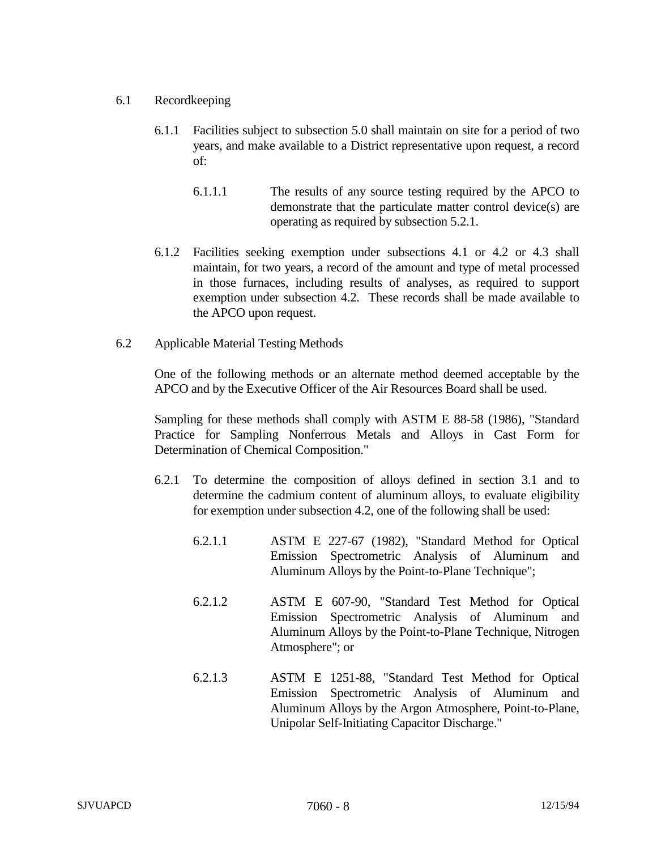## 6.1 Recordkeeping

- 6.1.1 Facilities subject to subsection 5.0 shall maintain on site for a period of two years, and make available to a District representative upon request, a record of:
	- 6.1.1.1 The results of any source testing required by the APCO to demonstrate that the particulate matter control device(s) are operating as required by subsection 5.2.1.
- 6.1.2 Facilities seeking exemption under subsections 4.1 or 4.2 or 4.3 shall maintain, for two years, a record of the amount and type of metal processed in those furnaces, including results of analyses, as required to support exemption under subsection 4.2. These records shall be made available to the APCO upon request.
- 6.2 Applicable Material Testing Methods

One of the following methods or an alternate method deemed acceptable by the APCO and by the Executive Officer of the Air Resources Board shall be used.

Sampling for these methods shall comply with ASTM E 88-58 (1986), "Standard Practice for Sampling Nonferrous Metals and Alloys in Cast Form for Determination of Chemical Composition."

- 6.2.1 To determine the composition of alloys defined in section 3.1 and to determine the cadmium content of aluminum alloys, to evaluate eligibility for exemption under subsection 4.2, one of the following shall be used:
	- 6.2.1.1 ASTM E 227-67 (1982), "Standard Method for Optical Emission Spectrometric Analysis of Aluminum and Aluminum Alloys by the Point-to-Plane Technique";
	- 6.2.1.2 ASTM E 607-90, "Standard Test Method for Optical Emission Spectrometric Analysis of Aluminum and Aluminum Alloys by the Point-to-Plane Technique, Nitrogen Atmosphere"; or
	- 6.2.1.3 ASTM E 1251-88, "Standard Test Method for Optical Emission Spectrometric Analysis of Aluminum and Aluminum Alloys by the Argon Atmosphere, Point-to-Plane, Unipolar Self-Initiating Capacitor Discharge."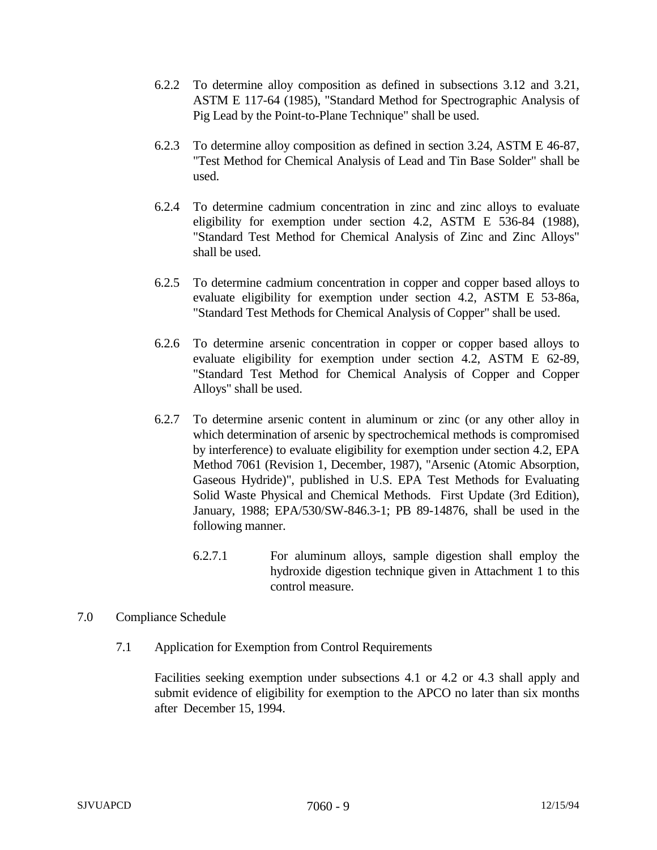- 6.2.2 To determine alloy composition as defined in subsections 3.12 and 3.21, ASTM E 117-64 (1985), "Standard Method for Spectrographic Analysis of Pig Lead by the Point-to-Plane Technique" shall be used.
- 6.2.3 To determine alloy composition as defined in section 3.24, ASTM E 46-87, "Test Method for Chemical Analysis of Lead and Tin Base Solder" shall be used.
- 6.2.4 To determine cadmium concentration in zinc and zinc alloys to evaluate eligibility for exemption under section 4.2, ASTM E 536-84 (1988), "Standard Test Method for Chemical Analysis of Zinc and Zinc Alloys" shall be used.
- 6.2.5 To determine cadmium concentration in copper and copper based alloys to evaluate eligibility for exemption under section 4.2, ASTM E 53-86a, "Standard Test Methods for Chemical Analysis of Copper" shall be used.
- 6.2.6 To determine arsenic concentration in copper or copper based alloys to evaluate eligibility for exemption under section 4.2, ASTM E 62-89, "Standard Test Method for Chemical Analysis of Copper and Copper Alloys" shall be used.
- 6.2.7 To determine arsenic content in aluminum or zinc (or any other alloy in which determination of arsenic by spectrochemical methods is compromised by interference) to evaluate eligibility for exemption under section 4.2, EPA Method 7061 (Revision 1, December, 1987), "Arsenic (Atomic Absorption, Gaseous Hydride)", published in U.S. EPA Test Methods for Evaluating Solid Waste Physical and Chemical Methods. First Update (3rd Edition), January, 1988; EPA/530/SW-846.3-1; PB 89-14876, shall be used in the following manner.
	- 6.2.7.1 For aluminum alloys, sample digestion shall employ the hydroxide digestion technique given in Attachment 1 to this control measure.
- 7.0 Compliance Schedule
	- 7.1 Application for Exemption from Control Requirements

Facilities seeking exemption under subsections 4.1 or 4.2 or 4.3 shall apply and submit evidence of eligibility for exemption to the APCO no later than six months after December 15, 1994.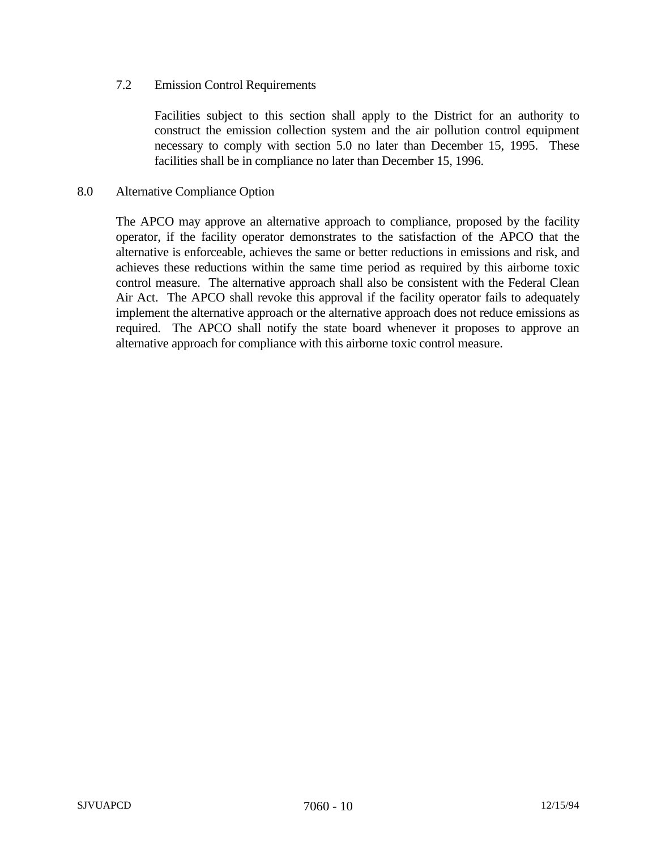## 7.2 Emission Control Requirements

Facilities subject to this section shall apply to the District for an authority to construct the emission collection system and the air pollution control equipment necessary to comply with section 5.0 no later than December 15, 1995. These facilities shall be in compliance no later than December 15, 1996.

### 8.0 Alternative Compliance Option

The APCO may approve an alternative approach to compliance, proposed by the facility operator, if the facility operator demonstrates to the satisfaction of the APCO that the alternative is enforceable, achieves the same or better reductions in emissions and risk, and achieves these reductions within the same time period as required by this airborne toxic control measure. The alternative approach shall also be consistent with the Federal Clean Air Act. The APCO shall revoke this approval if the facility operator fails to adequately implement the alternative approach or the alternative approach does not reduce emissions as required. The APCO shall notify the state board whenever it proposes to approve an alternative approach for compliance with this airborne toxic control measure.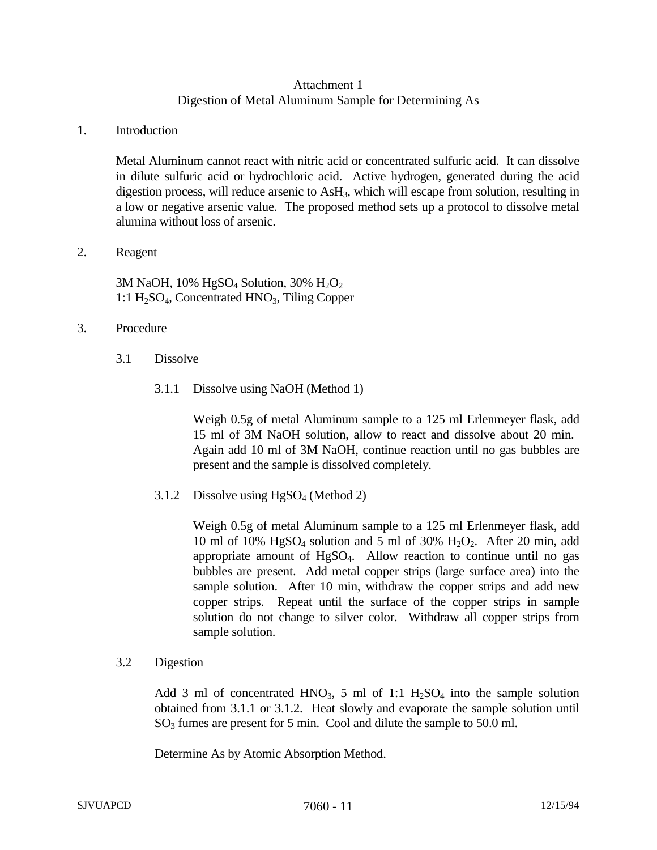# Attachment 1 Digestion of Metal Aluminum Sample for Determining As

#### 1. Introduction

Metal Aluminum cannot react with nitric acid or concentrated sulfuric acid. It can dissolve in dilute sulfuric acid or hydrochloric acid. Active hydrogen, generated during the acid digestion process, will reduce arsenic to  $\text{AsH}_3$ , which will escape from solution, resulting in a low or negative arsenic value. The proposed method sets up a protocol to dissolve metal alumina without loss of arsenic.

### 2. Reagent

3M NaOH,  $10\%$  HgSO<sub>4</sub> Solution,  $30\%$  H<sub>2</sub>O<sub>2</sub> 1:1 H<sub>2</sub>SO<sub>4</sub>, Concentrated HNO<sub>3</sub>, Tiling Copper

## 3. Procedure

- 3.1 Dissolve
	- 3.1.1 Dissolve using NaOH (Method 1)

Weigh 0.5g of metal Aluminum sample to a 125 ml Erlenmeyer flask, add 15 ml of 3M NaOH solution, allow to react and dissolve about 20 min. Again add 10 ml of 3M NaOH, continue reaction until no gas bubbles are present and the sample is dissolved completely.

3.1.2 Dissolve using  $HgSO<sub>4</sub>$  (Method 2)

Weigh 0.5g of metal Aluminum sample to a 125 ml Erlenmeyer flask, add 10 ml of 10% HgSO<sub>4</sub> solution and 5 ml of 30% H<sub>2</sub>O<sub>2</sub>. After 20 min, add appropriate amount of HgSO4. Allow reaction to continue until no gas bubbles are present. Add metal copper strips (large surface area) into the sample solution. After 10 min, withdraw the copper strips and add new copper strips. Repeat until the surface of the copper strips in sample solution do not change to silver color. Withdraw all copper strips from sample solution.

#### 3.2 Digestion

Add 3 ml of concentrated HNO<sub>3</sub>, 5 ml of 1:1  $H_2SO_4$  into the sample solution obtained from 3.1.1 or 3.1.2. Heat slowly and evaporate the sample solution until  $SO<sub>3</sub>$  fumes are present for 5 min. Cool and dilute the sample to 50.0 ml.

Determine As by Atomic Absorption Method.